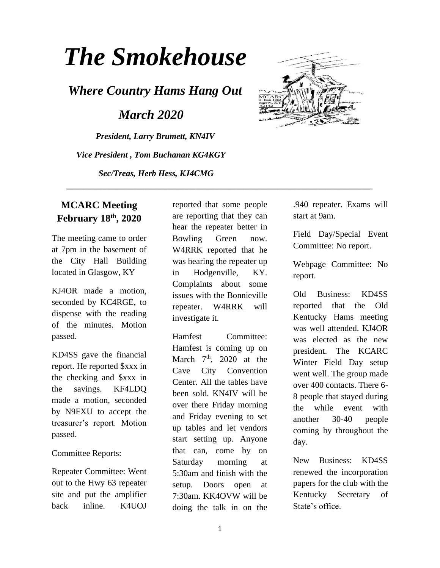# *The Smokehouse*

*Where Country Hams Hang Out*

 *March 2020*

*President, Larry Brumett, KN4IV Vice President , Tom Buchanan KG4KGY Sec/Treas, Herb Hess, KJ4CMG*



# **MCARC Meeting February 18th, 2020**

The meeting came to order at 7pm in the basement of the City Hall Building located in Glasgow, KY

KJ4OR made a motion, seconded by KC4RGE, to dispense with the reading of the minutes. Motion passed.

KD4SS gave the financial report. He reported \$xxx in the checking and \$xxx in the savings. KF4LDQ made a motion, seconded by N9FXU to accept the treasurer's report. Motion passed.

#### Committee Reports:

Repeater Committee: Went out to the Hwy 63 repeater site and put the amplifier back inline. K4UOJ

reported that some people are reporting that they can hear the repeater better in Bowling Green now. W4RRK reported that he was hearing the repeater up in Hodgenville, KY. Complaints about some issues with the Bonnieville repeater. W4RRK will investigate it.

 **\_\_\_\_\_\_\_\_\_\_\_\_\_\_\_\_\_\_\_\_\_\_\_\_\_\_\_\_\_\_\_\_\_\_\_\_\_\_\_\_\_\_\_\_\_\_\_\_\_\_\_\_\_\_\_\_\_\_\_\_\_\_\_\_\_\_\_\_\_\_\_**

Hamfest Committee: Hamfest is coming up on March  $7<sup>th</sup>$ , 2020 at the Cave City Convention Center. All the tables have been sold. KN4IV will be over there Friday morning and Friday evening to set up tables and let vendors start setting up. Anyone that can, come by on Saturday morning at 5:30am and finish with the setup. Doors open at 7:30am. KK4OVW will be doing the talk in on the

.940 repeater. Exams will start at 9am.

Field Day/Special Event Committee: No report.

Webpage Committee: No report.

Old Business: KD4SS reported that the Old Kentucky Hams meeting was well attended. KJ4OR was elected as the new president. The KCARC Winter Field Day setup went well. The group made over 400 contacts. There 6- 8 people that stayed during the while event with another 30-40 people coming by throughout the day.

New Business: KD4SS renewed the incorporation papers for the club with the Kentucky Secretary of State's office.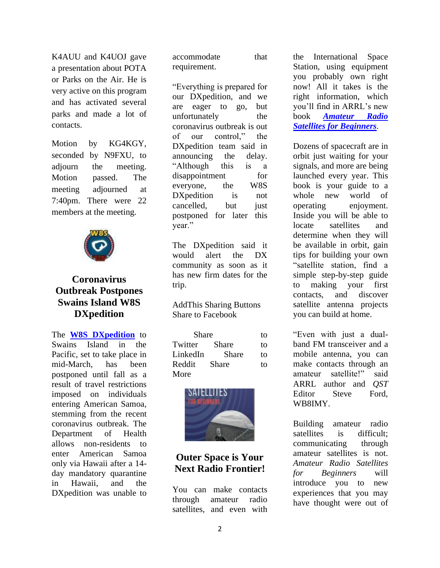K4AUU and K4UOJ gave a presentation about POTA or Parks on the Air. He is very active on this program and has activated several parks and made a lot of contacts.

Motion by KG4KGY, seconded by N9FXU, to adjourn the meeting. Motion passed. The meeting adjourned at 7:40pm. There were 22 members at the meeting.



### **Coronavirus Outbreak Postpones Swains Island W8S DXpedition**

The **[W8S DXpedition](https://swains2020.lldxt.eu/)** to Swains Island in the Pacific, set to take place in mid-March, has been postponed until fall as a result of travel restrictions imposed on individuals entering American Samoa, stemming from the recent coronavirus outbreak. The Department of Health allows non-residents to enter American Samoa only via Hawaii after a 14 day mandatory quarantine in Hawaii, and the DXpedition was unable to

accommodate that requirement.

"Everything is prepared for our DXpedition, and we are eager to go, but unfortunately the coronavirus outbreak is out of our control," the DXpedition team said in announcing the delay. "Although this is a disappointment for everyone, the W8S DXpedition is not cancelled, but just postponed for later this year."

The DXpedition said it would alert the DX community as soon as it has new firm dates for the trip.

AddThis Sharing Buttons Share to Facebook

Share to Twitter Share to LinkedIn Share to Reddit Share to More



# **Outer Space is Your Next Radio Frontier!**

You can make contacts through amateur radio satellites, and even with

the International Space Station, using equipment you probably own right now! All it takes is the right information, which you'll find in ARRL's new book *[Amateur Radio](http://www.arrl.org/shop/Amateur-Radio-Satellites-for-Beginners/)  [Satellites for Beginners](http://www.arrl.org/shop/Amateur-Radio-Satellites-for-Beginners/)*.

Dozens of spacecraft are in orbit just waiting for your signals, and more are being launched every year. This book is your guide to a whole new world of operating enjoyment. Inside you will be able to locate satellites and determine when they will be available in orbit, gain tips for building your own "satellite station, find a simple step-by-step guide to making your first contacts, and discover satellite antenna projects you can build at home.

"Even with just a dualband FM transceiver and a mobile antenna, you can make contacts through an amateur satellite!" said ARRL author and *QST* Editor Steve Ford, WB8IMY.

Building amateur radio satellites is difficult; communicating through amateur satellites is not. *Amateur Radio Satellites for Beginners* will introduce you to new experiences that you may have thought were out of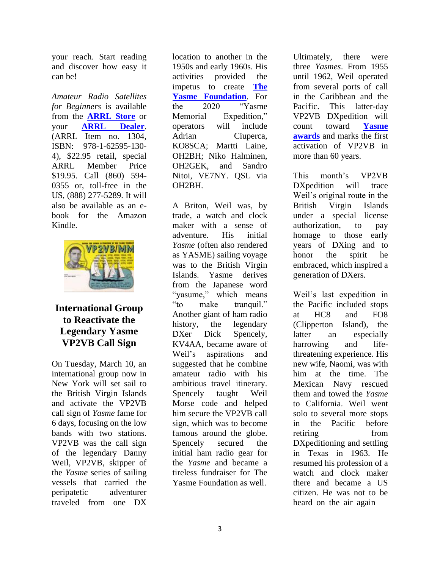your reach. Start reading and discover how easy it can be!

*Amateur Radio Satellites for Beginners* is available from the **[ARRL Store](http://www.arrl.org/shop)** or your **[ARRL Dealer](http://www.arrl.org/arrl-publication-dealers)**. (ARRL Item no. 1304, ISBN: 978-1-62595-130- 4), \$22.95 retail, special ARRL Member Price \$19.95. Call (860) 594- 0355 or, toll-free in the US, (888) 277-5289. It will also be available as an ebook for the Amazon Kindle.



## **International Group to Reactivate the Legendary Yasme VP2VB Call Sign**

On Tuesday, March 10, an international group now in New York will set sail to the British Virgin Islands and activate the VP2VB call sign of *Yasme* fame for 6 days, focusing on the low bands with two stations. VP2VB was the call sign of the legendary Danny Weil, VP2VB, skipper of the *Yasme* series of sailing vessels that carried the peripatetic adventurer traveled from one DX

location to another in the 1950s and early 1960s. His activities provided the impetus to create **[The](http://www.yasme.org/)  [Yasme Foundation](http://www.yasme.org/)**. For the 2020 "Yasme Memorial Expedition," operators will include Adrian Ciuperca, KO8SCA; Martti Laine, OH2BH; Niko Halminen, OH2GEK, and Sandro Nitoi, VE7NY. QSL via OH2BH.

A Briton, Weil was, by trade, a watch and clock maker with a sense of adventure. His initial *Yasme* (often also rendered as YASME) sailing voyage was to the British Virgin Islands. Yasme derives from the Japanese word "yasume," which means "to make tranquil." Another giant of ham radio history, the legendary DXer Dick Spencely, KV4AA, became aware of Weil's aspirations and suggested that he combine amateur radio with his ambitious travel itinerary. Spencely taught Weil Morse code and helped him secure the VP2VB call sign, which was to become famous around the globe. Spencely secured the initial ham radio gear for the *Yasme* and became a tireless fundraiser for The Yasme Foundation as well.

Ultimately, there were three *Yasmes*. From 1955 until 1962, Weil operated from several ports of call in the Caribbean and the Pacific. This latter-day VP2VB DXpedition will count toward **[Yasme](http://www.yasme.org/operating-awards/)  [awards](http://www.yasme.org/operating-awards/)** and marks the first activation of VP2VB in more than 60 years.

This month's VP2VB DXpedition will trace Weil's original route in the British Virgin Islands under a special license authorization, to pay homage to those early years of DXing and to honor the spirit he embraced, which inspired a generation of DXers.

Weil's last expedition in the Pacific included stops at HC8 and FO8 (Clipperton Island), the latter an especially harrowing and lifethreatening experience. His new wife, Naomi, was with him at the time. The Mexican Navy rescued them and towed the *Yasme* to California. Weil went solo to several more stops in the Pacific before retiring from DXpeditioning and settling in Texas in 1963. He resumed his profession of a watch and clock maker there and became a US citizen. He was not to be heard on the air again —